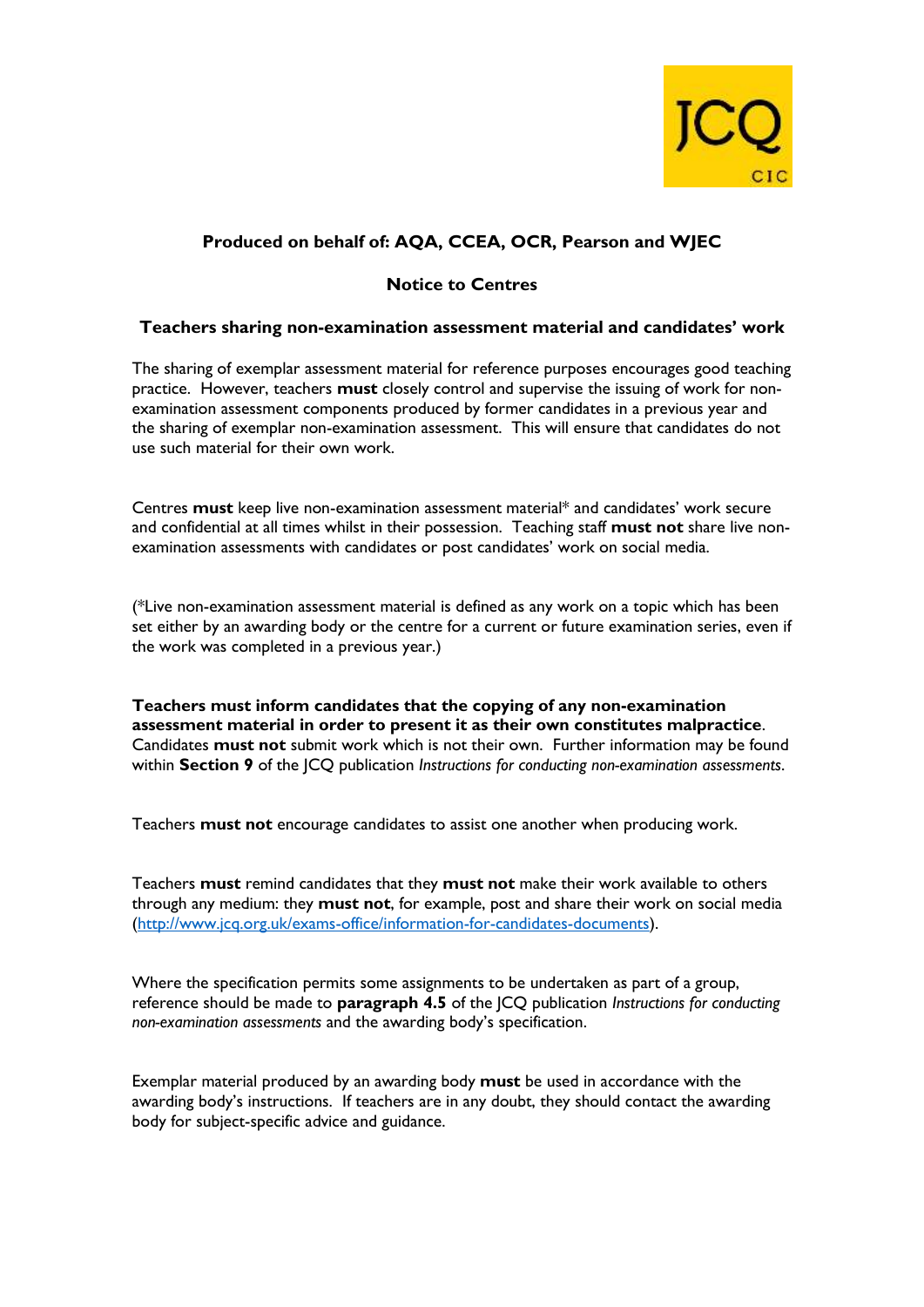

## **Produced on behalf of: AQA, CCEA, OCR, Pearson and WJEC**

## **Notice to Centres**

## **Teachers sharing non-examination assessment material and candidates' work**

The sharing of exemplar assessment material for reference purposes encourages good teaching practice. However, teachers **must** closely control and supervise the issuing of work for nonexamination assessment components produced by former candidates in a previous year and the sharing of exemplar non-examination assessment. This will ensure that candidates do not use such material for their own work.

Centres **must** keep live non-examination assessment material\* and candidates' work secure and confidential at all times whilst in their possession. Teaching staff **must not** share live nonexamination assessments with candidates or post candidates' work on social media.

(\*Live non-examination assessment material is defined as any work on a topic which has been set either by an awarding body or the centre for a current or future examination series, even if the work was completed in a previous year.)

**Teachers must inform candidates that the copying of any non-examination assessment material in order to present it as their own constitutes malpractice**. Candidates **must not** submit work which is not their own. Further information may be found within **Section 9** of the JCQ publication *Instructions for conducting non-examination assessments*.

Teachers **must not** encourage candidates to assist one another when producing work.

Teachers **must** remind candidates that they **must not** make their work available to others through any medium: they **must not**, for example, post and share their work on social media [\(http://www.jcq.org.uk/exams-office/information-for-candidates-documents\)](http://www.jcq.org.uk/exams-office/information-for-candidates-documents).

Where the specification permits some assignments to be undertaken as part of a group, reference should be made to **paragraph 4.5** of the JCQ publication *Instructions for conducting non-examination assessments* and the awarding body's specification.

Exemplar material produced by an awarding body **must** be used in accordance with the awarding body's instructions. If teachers are in any doubt, they should contact the awarding body for subject-specific advice and guidance.